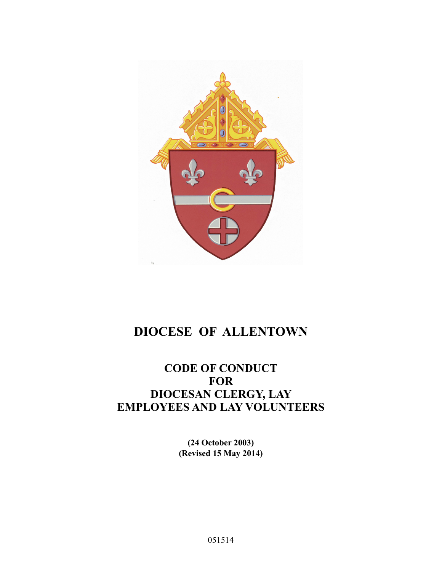

# **DIOCESE OF ALLENTOWN**

### **CODE OF CONDUCT FOR DIOCESAN CLERGY, LAY EMPLOYEES AND LAY VOLUNTEERS**

**(24 October 2003) (Revised 15 May 2014)**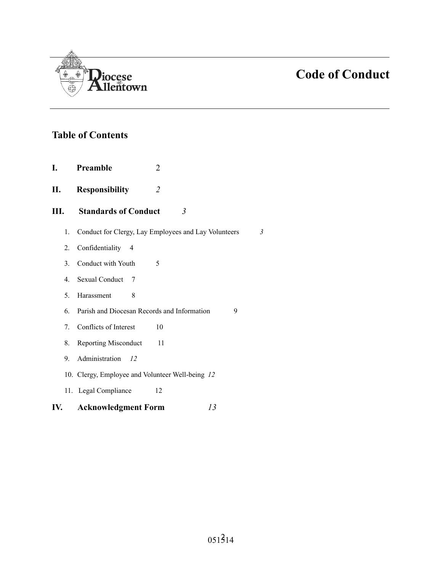

### **Table of Contents**

- **I. Preamble** 2
- **II. Responsibility** *2*
- **III. Standards of Conduct** *3*
	- 1. Conduct for Clergy, Lay Employees and Lay Volunteers *3*
	- 2. Confidentiality 4
	- 3. Conduct with Youth 5
	- 4. Sexual Conduct 7
	- 5. Harassment 8
	- 6. Parish and Diocesan Records and Information 9
	- 7. Conflicts of Interest 10
	- 8. Reporting Misconduct 11
	- 9. Administration *12*
	- 10. Clergy, Employee and Volunteer Well-being *12*
	- 11. Legal Compliance 12

### **IV. Acknowledgment Form** *13*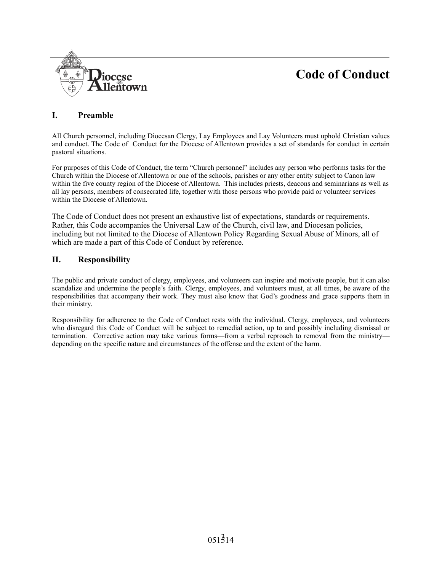

### **I. Preamble**

All Church personnel, including Diocesan Clergy, Lay Employees and Lay Volunteers must uphold Christian values and conduct. The Code of Conduct for the Diocese of Allentown provides a set of standards for conduct in certain pastoral situations.

For purposes of this Code of Conduct, the term "Church personnel" includes any person who performs tasks for the Church within the Diocese of Allentown or one of the schools, parishes or any other entity subject to Canon law within the five county region of the Diocese of Allentown. This includes priests, deacons and seminarians as well as all lay persons, members of consecrated life, together with those persons who provide paid or volunteer services within the Diocese of Allentown.

The Code of Conduct does not present an exhaustive list of expectations, standards or requirements. Rather, this Code accompanies the Universal Law of the Church, civil law, and Diocesan policies, including but not limited to the Diocese of Allentown Policy Regarding Sexual Abuse of Minors, all of which are made a part of this Code of Conduct by reference.

### **II. Responsibility**

The public and private conduct of clergy, employees, and volunteers can inspire and motivate people, but it can also scandalize and undermine the people's faith. Clergy, employees, and volunteers must, at all times, be aware of the responsibilities that accompany their work. They must also know that God's goodness and grace supports them in their ministry.

Responsibility for adherence to the Code of Conduct rests with the individual. Clergy, employees, and volunteers who disregard this Code of Conduct will be subject to remedial action, up to and possibly including dismissal or termination. Corrective action may take various forms—from a verbal reproach to removal from the ministry depending on the specific nature and circumstances of the offense and the extent of the harm.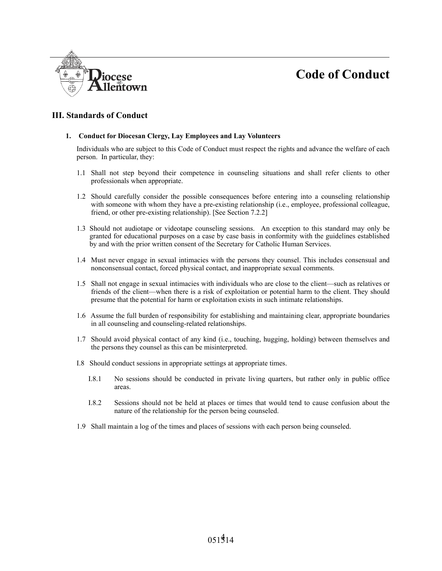

### **III. Standards of Conduct**

#### **1. Conduct for Diocesan Clergy, Lay Employees and Lay Volunteers**

Individuals who are subject to this Code of Conduct must respect the rights and advance the welfare of each person. In particular, they:

- 1.1 Shall not step beyond their competence in counseling situations and shall refer clients to other professionals when appropriate.
- 1.2 Should carefully consider the possible consequences before entering into a counseling relationship with someone with whom they have a pre-existing relationship (i.e., employee, professional colleague, friend, or other pre-existing relationship). [See Section 7.2.2]
- 1.3 Should not audiotape or videotape counseling sessions. An exception to this standard may only be granted for educational purposes on a case by case basis in conformity with the guidelines established by and with the prior written consent of the Secretary for Catholic Human Services.
- 1.4 Must never engage in sexual intimacies with the persons they counsel. This includes consensual and nonconsensual contact, forced physical contact, and inappropriate sexual comments.
- 1.5 Shall not engage in sexual intimacies with individuals who are close to the client—such as relatives or friends of the client—when there is a risk of exploitation or potential harm to the client. They should presume that the potential for harm or exploitation exists in such intimate relationships.
- 1.6 Assume the full burden of responsibility for establishing and maintaining clear, appropriate boundaries in all counseling and counseling-related relationships.
- 1.7 Should avoid physical contact of any kind (i.e., touching, hugging, holding) between themselves and the persons they counsel as this can be misinterpreted.
- I.8 Should conduct sessions in appropriate settings at appropriate times.
	- I.8.1 No sessions should be conducted in private living quarters, but rather only in public office areas.
	- I.8.2 Sessions should not be held at places or times that would tend to cause confusion about the nature of the relationship for the person being counseled.
- 1.9 Shall maintain a log of the times and places of sessions with each person being counseled.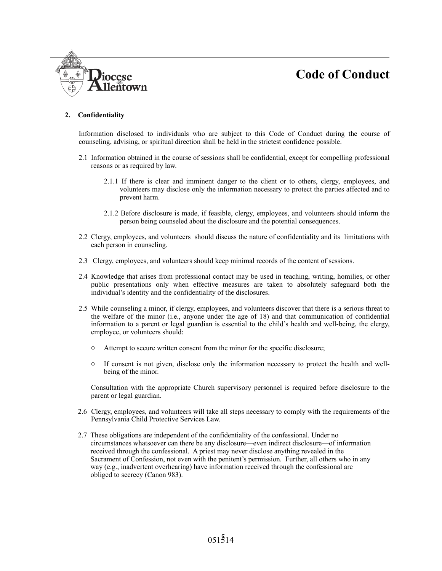

#### **2. Confidentiality**

Information disclosed to individuals who are subject to this Code of Conduct during the course of counseling, advising, or spiritual direction shall be held in the strictest confidence possible.

- 2.1 Information obtained in the course of sessions shall be confidential, except for compelling professional reasons or as required by law.
	- 2.1.1 If there is clear and imminent danger to the client or to others, clergy, employees, and volunteers may disclose only the information necessary to protect the parties affected and to prevent harm.
	- 2.1.2 Before disclosure is made, if feasible, clergy, employees, and volunteers should inform the person being counseled about the disclosure and the potential consequences.
- 2.2 Clergy, employees, and volunteers should discuss the nature of confidentiality and its limitations with each person in counseling.
- 2.3 Clergy, employees, and volunteers should keep minimal records of the content of sessions.
- 2.4 Knowledge that arises from professional contact may be used in teaching, writing, homilies, or other public presentations only when effective measures are taken to absolutely safeguard both the individual's identity and the confidentiality of the disclosures.
- 2.5 While counseling a minor, if clergy, employees, and volunteers discover that there is a serious threat to the welfare of the minor (i.e., anyone under the age of 18) and that communication of confidential information to a parent or legal guardian is essential to the child's health and well-being, the clergy, employee, or volunteers should:
	- o Attempt to secure written consent from the minor for the specific disclosure;
	- $\circ$  If consent is not given, disclose only the information necessary to protect the health and wellbeing of the minor.

Consultation with the appropriate Church supervisory personnel is required before disclosure to the parent or legal guardian.

- 2.6 Clergy, employees, and volunteers will take all steps necessary to comply with the requirements of the Pennsylvania Child Protective Services Law.
- 2.7 These obligations are independent of the confidentiality of the confessional. Under no circumstances whatsoever can there be any disclosure—even indirect disclosure—of information received through the confessional. A priest may never disclose anything revealed in the Sacrament of Confession, not even with the penitent's permission. Further, all others who in any way (e.g., inadvertent overhearing) have information received through the confessional are obliged to secrecy (Canon 983).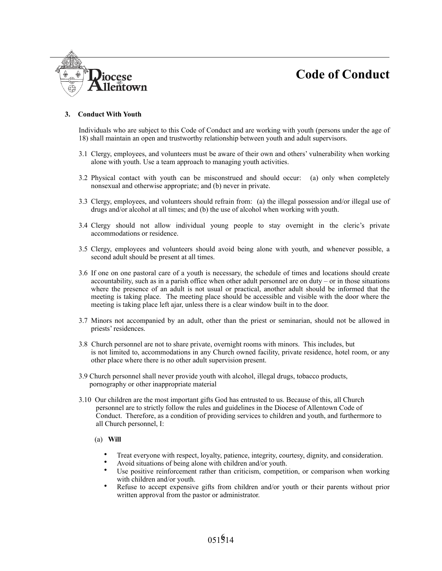# Jiocese lentown

#### **3. Conduct With Youth**

Individuals who are subject to this Code of Conduct and are working with youth (persons under the age of 18) shall maintain an open and trustworthy relationship between youth and adult supervisors.

- 3.1 Clergy, employees, and volunteers must be aware of their own and others' vulnerability when working alone with youth. Use a team approach to managing youth activities.
- 3.2 Physical contact with youth can be misconstrued and should occur: (a) only when completely nonsexual and otherwise appropriate; and (b) never in private.
- 3.3 Clergy, employees, and volunteers should refrain from: (a) the illegal possession and/or illegal use of drugs and/or alcohol at all times; and (b) the use of alcohol when working with youth.
- 3.4 Clergy should not allow individual young people to stay overnight in the cleric's private accommodations or residence.
- 3.5 Clergy, employees and volunteers should avoid being alone with youth, and whenever possible, a second adult should be present at all times.
- 3.6 If one on one pastoral care of a youth is necessary, the schedule of times and locations should create accountability, such as in a parish office when other adult personnel are on duty – or in those situations where the presence of an adult is not usual or practical, another adult should be informed that the meeting is taking place. The meeting place should be accessible and visible with the door where the meeting is taking place left ajar, unless there is a clear window built in to the door.
- 3.7 Minors not accompanied by an adult, other than the priest or seminarian, should not be allowed in priests' residences.
- 3.8 Church personnel are not to share private, overnight rooms with minors. This includes, but is not limited to, accommodations in any Church owned facility, private residence, hotel room, or any other place where there is no other adult supervision present.
- 3.9 Church personnel shall never provide youth with alcohol, illegal drugs, tobacco products, pornography or other inappropriate material
- 3.10 Our children are the most important gifts God has entrusted to us. Because of this, all Church personnel are to strictly follow the rules and guidelines in the Diocese of Allentown Code of Conduct. Therefore, as a condition of providing services to children and youth, and furthermore to all Church personnel, I:
	- (a) **Will**
		- Treat everyone with respect, loyalty, patience, integrity, courtesy, dignity, and consideration.
		- Avoid situations of being alone with children and/or youth.
		- Use positive reinforcement rather than criticism, competition, or comparison when working with children and/or youth.
		- Refuse to accept expensive gifts from children and/or youth or their parents without prior written approval from the pastor or administrator.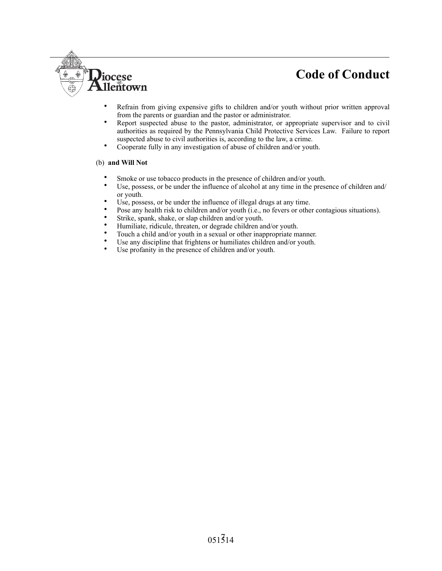- Refrain from giving expensive gifts to children and/or youth without prior written approval from the parents or guardian and the pastor or administrator.
- Report suspected abuse to the pastor, administrator, or appropriate supervisor and to civil authorities as required by the Pennsylvania Child Protective Services Law. Failure to report suspected abuse to civil authorities is, according to the law, a crime.
- Cooperate fully in any investigation of abuse of children and/or youth.

#### (b) **and Will Not**

Diocese<br>Allentown

- Smoke or use tobacco products in the presence of children and/or youth.
- Use, possess, or be under the influence of alcohol at any time in the presence of children and/ or youth.
- Use, possess, or be under the influence of illegal drugs at any time.
- Pose any health risk to children and/or youth (i.e., no fevers or other contagious situations).
- Strike, spank, shake, or slap children and/or youth.
- Humiliate, ridicule, threaten, or degrade children and/or youth.
- Touch a child and/or youth in a sexual or other inappropriate manner.
- Use any discipline that frightens or humiliates children and/or youth.<br>• Use profenity in the presence of children and/or youth.
- Use profanity in the presence of children and/or youth.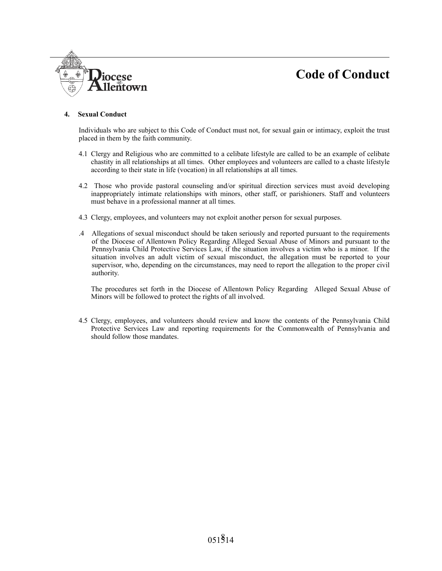

#### **4. Sexual Conduct**

Individuals who are subject to this Code of Conduct must not, for sexual gain or intimacy, exploit the trust placed in them by the faith community.

- 4.1 Clergy and Religious who are committed to a celibate lifestyle are called to be an example of celibate chastity in all relationships at all times. Other employees and volunteers are called to a chaste lifestyle according to their state in life (vocation) in all relationships at all times.
- 4.2 Those who provide pastoral counseling and/or spiritual direction services must avoid developing inappropriately intimate relationships with minors, other staff, or parishioners. Staff and volunteers must behave in a professional manner at all times.
- 4.3 Clergy, employees, and volunteers may not exploit another person for sexual purposes.
- .4 Allegations of sexual misconduct should be taken seriously and reported pursuant to the requirements of the Diocese of Allentown Policy Regarding Alleged Sexual Abuse of Minors and pursuant to the Pennsylvania Child Protective Services Law, if the situation involves a victim who is a minor. If the situation involves an adult victim of sexual misconduct, the allegation must be reported to your supervisor, who, depending on the circumstances, may need to report the allegation to the proper civil authority.

The procedures set forth in the Diocese of Allentown Policy Regarding Alleged Sexual Abuse of Minors will be followed to protect the rights of all involved.

4.5 Clergy, employees, and volunteers should review and know the contents of the Pennsylvania Child Protective Services Law and reporting requirements for the Commonwealth of Pennsylvania and should follow those mandates.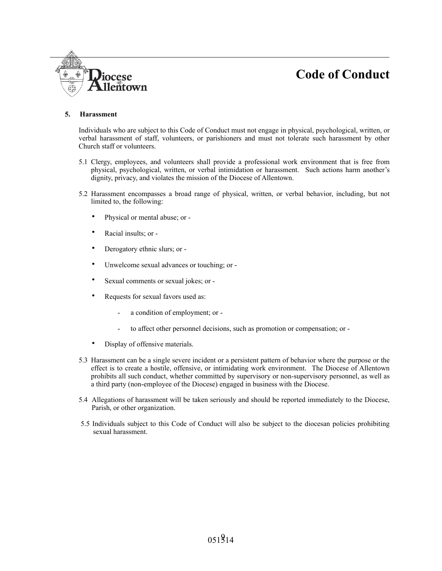

*iocese* 

lentown

Individuals who are subject to this Code of Conduct must not engage in physical, psychological, written, or verbal harassment of staff, volunteers, or parishioners and must not tolerate such harassment by other Church staff or volunteers.

- 5.1 Clergy, employees, and volunteers shall provide a professional work environment that is free from physical, psychological, written, or verbal intimidation or harassment. Such actions harm another's dignity, privacy, and violates the mission of the Diocese of Allentown.
- 5.2 Harassment encompasses a broad range of physical, written, or verbal behavior, including, but not limited to, the following:
	- Physical or mental abuse; or -
	- Racial insults; or -
	- Derogatory ethnic slurs; or -
	- Unwelcome sexual advances or touching; or -
	- Sexual comments or sexual jokes; or -
	- Requests for sexual favors used as:
		- a condition of employment; or -
		- to affect other personnel decisions, such as promotion or compensation; or -
	- Display of offensive materials.
- 5.3 Harassment can be a single severe incident or a persistent pattern of behavior where the purpose or the effect is to create a hostile, offensive, or intimidating work environment. The Diocese of Allentown prohibits all such conduct, whether committed by supervisory or non-supervisory personnel, as well as a third party (non-employee of the Diocese) engaged in business with the Diocese.
- 5.4 Allegations of harassment will be taken seriously and should be reported immediately to the Diocese, Parish, or other organization.
- 5.5 Individuals subject to this Code of Conduct will also be subject to the diocesan policies prohibiting sexual harassment.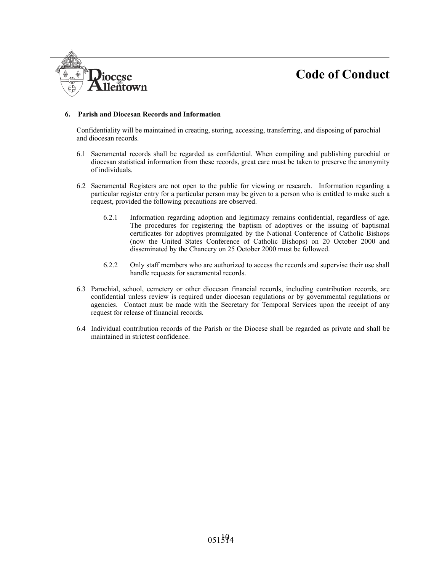#### **6. Parish and Diocesan Records and Information**

**Piocese** 

llentown

Confidentiality will be maintained in creating, storing, accessing, transferring, and disposing of parochial and diocesan records.

- 6.1 Sacramental records shall be regarded as confidential. When compiling and publishing parochial or diocesan statistical information from these records, great care must be taken to preserve the anonymity of individuals.
- 6.2 Sacramental Registers are not open to the public for viewing or research. Information regarding a particular register entry for a particular person may be given to a person who is entitled to make such a request, provided the following precautions are observed.
	- 6.2.1 Information regarding adoption and legitimacy remains confidential, regardless of age. The procedures for registering the baptism of adoptives or the issuing of baptismal certificates for adoptives promulgated by the National Conference of Catholic Bishops (now the United States Conference of Catholic Bishops) on 20 October 2000 and disseminated by the Chancery on 25 October 2000 must be followed.
	- 6.2.2 Only staff members who are authorized to access the records and supervise their use shall handle requests for sacramental records.
- 6.3 Parochial, school, cemetery or other diocesan financial records, including contribution records, are confidential unless review is required under diocesan regulations or by governmental regulations or agencies. Contact must be made with the Secretary for Temporal Services upon the receipt of any request for release of financial records.
- 6.4 Individual contribution records of the Parish or the Diocese shall be regarded as private and shall be maintained in strictest confidence.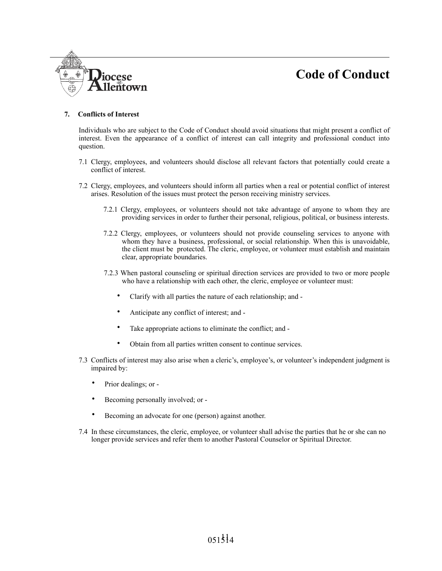

#### **7. Conflicts of Interest**

Individuals who are subject to the Code of Conduct should avoid situations that might present a conflict of interest. Even the appearance of a conflict of interest can call integrity and professional conduct into question.

- 7.1 Clergy, employees, and volunteers should disclose all relevant factors that potentially could create a conflict of interest.
- 7.2 Clergy, employees, and volunteers should inform all parties when a real or potential conflict of interest arises. Resolution of the issues must protect the person receiving ministry services.
	- 7.2.1 Clergy, employees, or volunteers should not take advantage of anyone to whom they are providing services in order to further their personal, religious, political, or business interests.
	- 7.2.2 Clergy, employees, or volunteers should not provide counseling services to anyone with whom they have a business, professional, or social relationship. When this is unavoidable, the client must be protected. The cleric, employee, or volunteer must establish and maintain clear, appropriate boundaries.
	- 7.2.3 When pastoral counseling or spiritual direction services are provided to two or more people who have a relationship with each other, the cleric, employee or volunteer must:
		- Clarify with all parties the nature of each relationship; and -
		- Anticipate any conflict of interest; and -
		- Take appropriate actions to eliminate the conflict; and -
		- Obtain from all parties written consent to continue services.
- 7.3 Conflicts of interest may also arise when a cleric's, employee's, or volunteer's independent judgment is impaired by:
	- Prior dealings; or -
	- Becoming personally involved; or -
	- Becoming an advocate for one (person) against another.
- 7.4 In these circumstances, the cleric, employee, or volunteer shall advise the parties that he or she can no longer provide services and refer them to another Pastoral Counselor or Spiritual Director.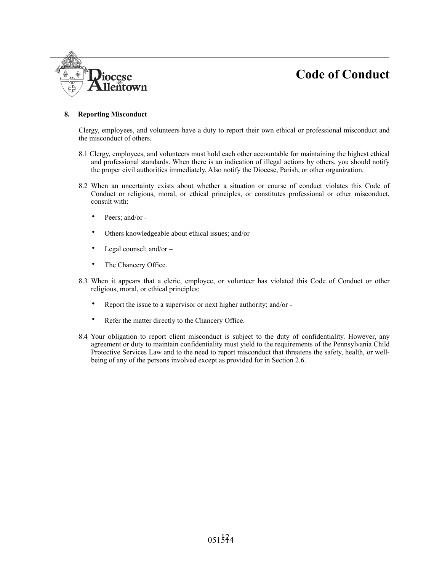

#### **8. Reporting Misconduct**

Clergy, employees, and volunteers have a duty to report their own ethical or professional misconduct and the misconduct of others.

- 8.1 Clergy, employees, and volunteers must hold each other accountable for maintaining the highest ethical and professional standards. When there is an indication of illegal actions by others, you should notify the proper civil authorities immediately. Also notify the Diocese, Parish, or other organization.
- 8.2 When an uncertainty exists about whether a situation or course of conduct violates this Code of Conduct or religious, moral, or ethical principles, or constitutes professional or other misconduct, consult with:
	- Peers; and/or -
	- Others knowledgeable about ethical issues; and/or -
	- Legal counsel; and/or  $-$
	- The Chancery Office.
- 8.3 When it appears that a cleric, employee, or volunteer has violated this Code of Conduct or other religious, moral, or ethical principles:
	- Report the issue to a supervisor or next higher authority; and/or -
	- Refer the matter directly to the Chancery Office.
- 8.4 Your obligation to report client misconduct is subject to the duty of confidentiality. However, any agreement or duty to maintain confidentiality must yield to the requirements of the Pennsylvania Child Protective Services Law and to the need to report misconduct that threatens the safety, health, or wellbeing of any of the persons involved except as provided for in Section 2.6.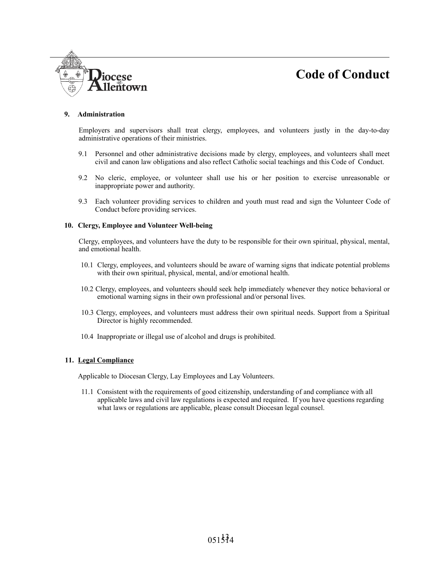

#### **9. Administration**

Employers and supervisors shall treat clergy, employees, and volunteers justly in the day-to-day administrative operations of their ministries.

- 9.1 Personnel and other administrative decisions made by clergy, employees, and volunteers shall meet civil and canon law obligations and also reflect Catholic social teachings and this Code of Conduct.
- 9.2 No cleric, employee, or volunteer shall use his or her position to exercise unreasonable or inappropriate power and authority.
- 9.3 Each volunteer providing services to children and youth must read and sign the Volunteer Code of Conduct before providing services.

#### **10. Clergy, Employee and Volunteer Well-being**

Clergy, employees, and volunteers have the duty to be responsible for their own spiritual, physical, mental, and emotional health.

- 10.1 Clergy, employees, and volunteers should be aware of warning signs that indicate potential problems with their own spiritual, physical, mental, and/or emotional health.
- 10.2 Clergy, employees, and volunteers should seek help immediately whenever they notice behavioral or emotional warning signs in their own professional and/or personal lives.
- 10.3 Clergy, employees, and volunteers must address their own spiritual needs. Support from a Spiritual Director is highly recommended.
- 10.4 Inappropriate or illegal use of alcohol and drugs is prohibited.

#### **11. Legal Compliance**

Applicable to Diocesan Clergy, Lay Employees and Lay Volunteers.

11.1 Consistent with the requirements of good citizenship, understanding of and compliance with all applicable laws and civil law regulations is expected and required. If you have questions regarding what laws or regulations are applicable, please consult Diocesan legal counsel.